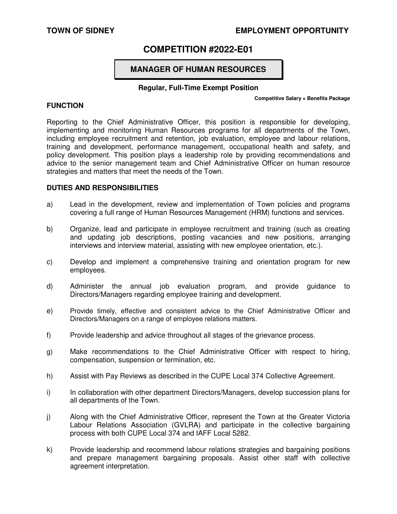## **TOWN OF SIDNEY EMPLOYMENT OPPORTUNITY**

# **COMPETITION #2022-E01**

# **MANAGER OF HUMAN RESOURCES**

## **Regular, Full-Time Exempt Position**

## **FUNCTION**

#### **Competitive Salary + Benefits Package**

Reporting to the Chief Administrative Officer, this position is responsible for developing, implementing and monitoring Human Resources programs for all departments of the Town, including employee recruitment and retention, job evaluation, employee and labour relations, training and development, performance management, occupational health and safety, and policy development. This position plays a leadership role by providing recommendations and advice to the senior management team and Chief Administrative Officer on human resource strategies and matters that meet the needs of the Town.

## **DUTIES AND RESPONSIBILITIES**

- a) Lead in the development, review and implementation of Town policies and programs covering a full range of Human Resources Management (HRM) functions and services.
- b) Organize, lead and participate in employee recruitment and training (such as creating and updating job descriptions, posting vacancies and new positions, arranging interviews and interview material, assisting with new employee orientation, etc.).
- c) Develop and implement a comprehensive training and orientation program for new employees.
- d) Administer the annual job evaluation program, and provide guidance to Directors/Managers regarding employee training and development.
- e) Provide timely, effective and consistent advice to the Chief Administrative Officer and Directors/Managers on a range of employee relations matters.
- f) Provide leadership and advice throughout all stages of the grievance process.
- g) Make recommendations to the Chief Administrative Officer with respect to hiring, compensation, suspension or termination, etc.
- h) Assist with Pay Reviews as described in the CUPE Local 374 Collective Agreement.
- i) In collaboration with other department Directors/Managers, develop succession plans for all departments of the Town.
- j) Along with the Chief Administrative Officer, represent the Town at the Greater Victoria Labour Relations Association (GVLRA) and participate in the collective bargaining process with both CUPE Local 374 and IAFF Local 5282.
- k) Provide leadership and recommend labour relations strategies and bargaining positions and prepare management bargaining proposals. Assist other staff with collective agreement interpretation.